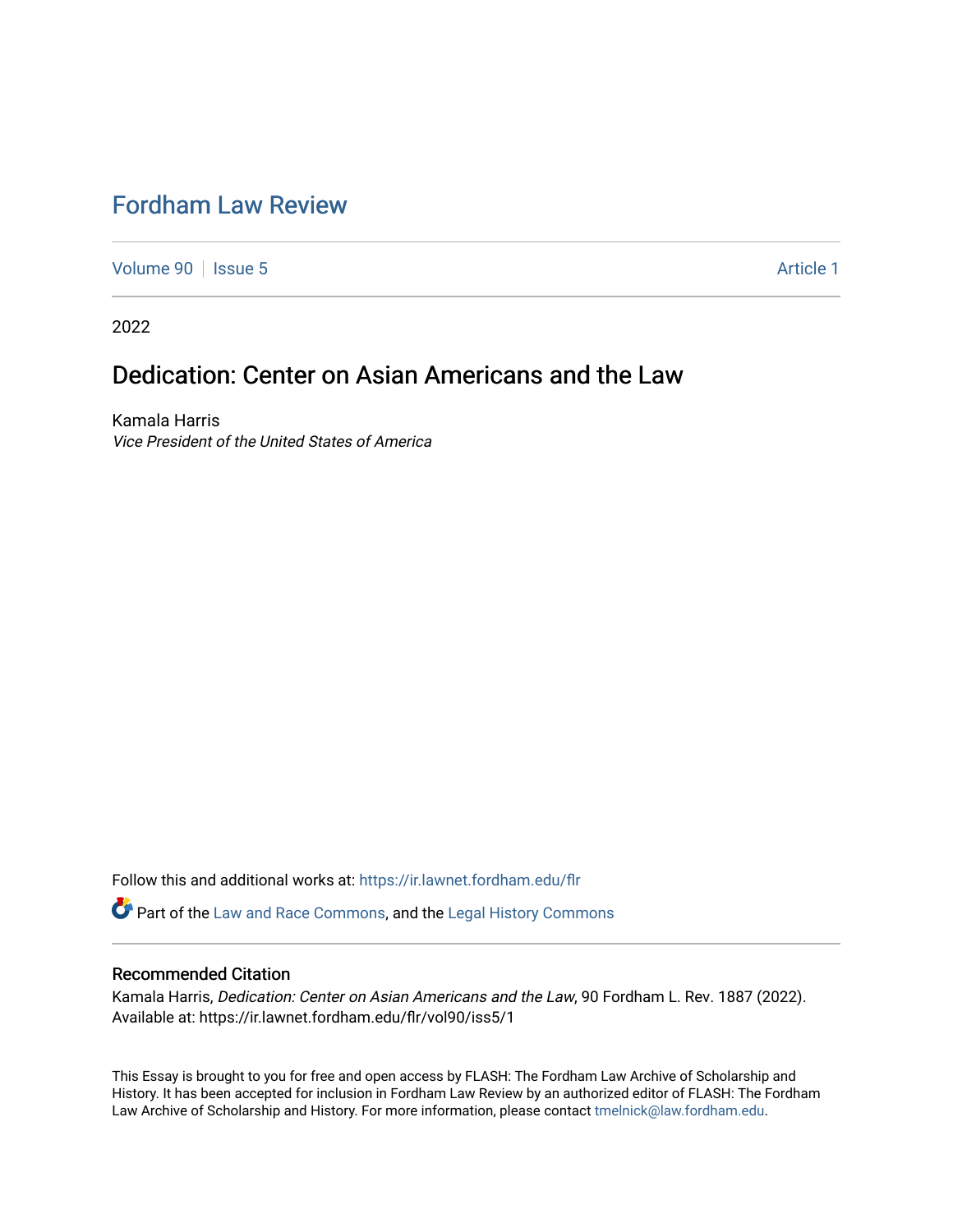# [Fordham Law Review](https://ir.lawnet.fordham.edu/flr)

[Volume 90](https://ir.lawnet.fordham.edu/flr/vol90) | [Issue 5](https://ir.lawnet.fordham.edu/flr/vol90/iss5) Article 1

2022

## Dedication: Center on Asian Americans and the Law

Kamala Harris Vice President of the United States of America

Follow this and additional works at: [https://ir.lawnet.fordham.edu/flr](https://ir.lawnet.fordham.edu/flr?utm_source=ir.lawnet.fordham.edu%2Fflr%2Fvol90%2Fiss5%2F1&utm_medium=PDF&utm_campaign=PDFCoverPages)

Part of the [Law and Race Commons,](http://network.bepress.com/hgg/discipline/1300?utm_source=ir.lawnet.fordham.edu%2Fflr%2Fvol90%2Fiss5%2F1&utm_medium=PDF&utm_campaign=PDFCoverPages) and the [Legal History Commons](http://network.bepress.com/hgg/discipline/904?utm_source=ir.lawnet.fordham.edu%2Fflr%2Fvol90%2Fiss5%2F1&utm_medium=PDF&utm_campaign=PDFCoverPages) 

#### Recommended Citation

Kamala Harris, Dedication: Center on Asian Americans and the Law, 90 Fordham L. Rev. 1887 (2022). Available at: https://ir.lawnet.fordham.edu/flr/vol90/iss5/1

This Essay is brought to you for free and open access by FLASH: The Fordham Law Archive of Scholarship and History. It has been accepted for inclusion in Fordham Law Review by an authorized editor of FLASH: The Fordham Law Archive of Scholarship and History. For more information, please contact [tmelnick@law.fordham.edu](mailto:tmelnick@law.fordham.edu).